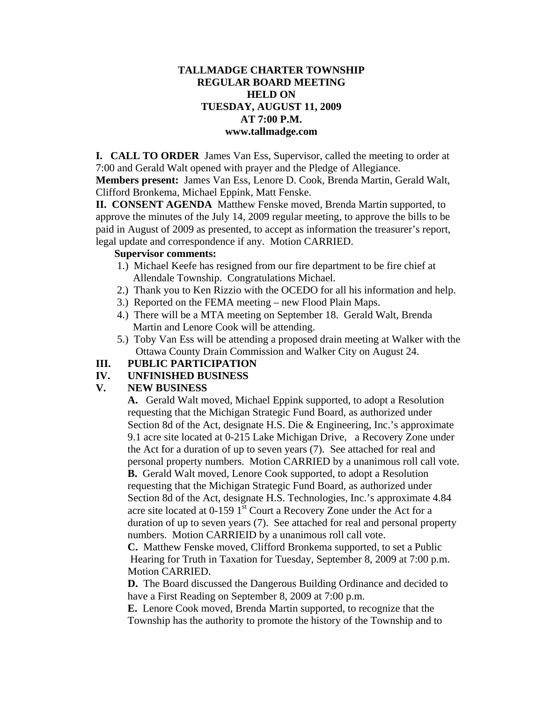### **TALLMADGE CHARTER TOWNSHIP REGULAR BOARD MEETING HELD ON TUESDAY, AUGUST 11, 2009 AT 7:00 P.M. www.tallmadge.com**

**I. CALL TO ORDER** James Van Ess, Supervisor, called the meeting to order at 7:00 and Gerald Walt opened with prayer and the Pledge of Allegiance.

**Members present:** James Van Ess, Lenore D. Cook, Brenda Martin, Gerald Walt, Clifford Bronkema, Michael Eppink, Matt Fenske.

**II. CONSENT AGENDA** Matthew Fenske moved, Brenda Martin supported, to approve the minutes of the July 14, 2009 regular meeting, to approve the bills to be paid in August of 2009 as presented, to accept as information the treasurer's report, legal update and correspondence if any. Motion CARRIED.

#### **Supervisor comments:**

- 1.) Michael Keefe has resigned from our fire department to be fire chief at Allendale Township. Congratulations Michael.
- 2.) Thank you to Ken Rizzio with the OCEDO for all his information and help.
- 3.) Reported on the FEMA meeting new Flood Plain Maps.
- 4.) There will be a MTA meeting on September 18. Gerald Walt, Brenda Martin and Lenore Cook will be attending.
- 5.) Toby Van Ess will be attending a proposed drain meeting at Walker with the Ottawa County Drain Commission and Walker City on August 24.

# **III. PUBLIC PARTICIPATION**

## **IV. UNFINISHED BUSINESS**

## **V. NEW BUSINESS**

**A.** Gerald Walt moved, Michael Eppink supported, to adopt a Resolution requesting that the Michigan Strategic Fund Board, as authorized under Section 8d of the Act, designate H.S. Die & Engineering, Inc.'s approximate 9.1 acre site located at 0-215 Lake Michigan Drive, a Recovery Zone under the Act for a duration of up to seven years (7). See attached for real and personal property numbers. Motion CARRIED by a unanimous roll call vote. **B.** Gerald Walt moved, Lenore Cook supported, to adopt a Resolution requesting that the Michigan Strategic Fund Board, as authorized under Section 8d of the Act, designate H.S. Technologies, Inc.'s approximate 4.84 acre site located at  $0-159$  1<sup>st</sup> Court a Recovery Zone under the Act for a duration of up to seven years (7). See attached for real and personal property numbers. Motion CARRIEID by a unanimous roll call vote.

**C.** Matthew Fenske moved, Clifford Bronkema supported, to set a Public Hearing for Truth in Taxation for Tuesday, September 8, 2009 at 7:00 p.m. Motion CARRIED.

**D.** The Board discussed the Dangerous Building Ordinance and decided to have a First Reading on September 8, 2009 at 7:00 p.m.

**E.** Lenore Cook moved, Brenda Martin supported, to recognize that the Township has the authority to promote the history of the Township and to